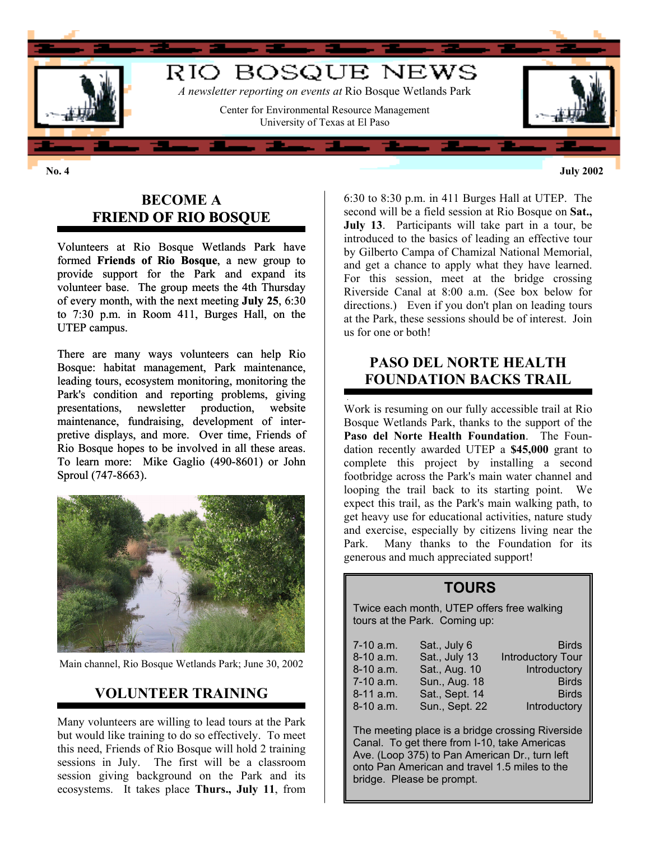

**No. 4 July 2002**

#### **BECOME A FRIEND OF RIO BOSQUE**

Volunteers at Rio Bosque Wetlands Park have formed **Friends of Rio Bosque**, a new group to provide support for the Park and expand its volunteer base. The group meets the 4th Thursday of every month, with the next meeting **July 25**, 6:30 to 7:30 p.m. in Room 411, Burges Hall, on the UTEP campus.

There are many ways volunteers can help Rio Bosque: habitat management, Park maintenance, leading tours, ecosystem monitoring, monitoring the Park's condition and reporting problems, giving presentations, newsletter production, website maintenance, fundraising, development of interpretive displays, and more. Over time, Friends of Rio Bosque hopes to be involved in all these areas. To learn more: Mike Gaglio (490-8601) or John Sproul (747-8663).



Main channel, Rio Bosque Wetlands Park; June 30, 2002

#### **VOLUNTEER TRAINING**

Many volunteers are willing to lead tours at the Park but would like training to do so effectively. To meet this need, Friends of Rio Bosque will hold 2 training sessions in July. The first will be a classroom session giving background on the Park and its ecosystems. It takes place **Thurs., July 11**, from

6:30 to 8:30 p.m. in 411 Burges Hall at UTEP. The second will be a field session at Rio Bosque on **Sat., July 13**. Participants will take part in a tour, be introduced to the basics of leading an effective tour by Gilberto Campa of Chamizal National Memorial, and get a chance to apply what they have learned. For this session, meet at the bridge crossing Riverside Canal at 8:00 a.m. (See box below for directions.) Even if you don't plan on leading tours at the Park, these sessions should be of interest. Join us for one or both!

#### **PASO DEL NORTE HEALTH FOUNDATION BACKS TRAIL**

Work is resuming on our fully accessible trail at Rio Bosque Wetlands Park, thanks to the support of the **Paso del Norte Health Foundation**. The Foundation recently awarded UTEP a **\$45,000** grant to complete this project by installing a second footbridge across the Park's main water channel and looping the trail back to its starting point. We expect this trail, as the Park's main walking path, to get heavy use for educational activities, nature study and exercise, especially by citizens living near the Park. Many thanks to the Foundation for its generous and much appreciated support!

#### **TOURS**

Twice each month, UTEP offers free walking tours at the Park. Coming up:

| 7-10 a.m.   | Sat., July 6   | <b>Birds</b>             |
|-------------|----------------|--------------------------|
| $8-10$ a.m. | Sat., July 13  | <b>Introductory Tour</b> |
| $8-10$ a.m. | Sat., Aug. 10  | Introductory             |
| 7-10 a.m.   | Sun., Aug. 18  | <b>Birds</b>             |
| $8-11$ a.m. | Sat., Sept. 14 | <b>Birds</b>             |
| $8-10$ a.m. | Sun., Sept. 22 | Introductory             |

The meeting place is a bridge crossing Riverside Canal. To get there from I-10, take Americas Ave. (Loop 375) to Pan American Dr., turn left onto Pan American and travel 1.5 miles to the bridge. Please be prompt.